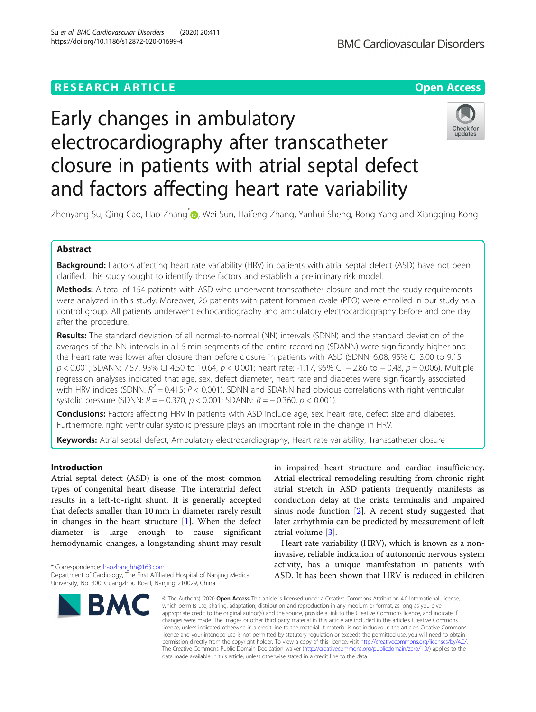## **RESEARCH ARTICLE Example 2014 12:30 The Contract of Contract ACCESS**

# Early changes in ambulatory electrocardiography after transcatheter closure in patients with atrial septal defect and factors affecting heart rate variability



Zhenyang Su, Qing Cao, Hao Zhang<sup>[\\*](http://orcid.org/0000-0001-8977-7681)</sup> , Wei Sun, Haifeng Zhang, Yanhui Sheng, Rong Yang and Xiangqing Kong

## Abstract

Background: Factors affecting heart rate variability (HRV) in patients with atrial septal defect (ASD) have not been clarified. This study sought to identify those factors and establish a preliminary risk model.

Methods: A total of 154 patients with ASD who underwent transcatheter closure and met the study requirements were analyzed in this study. Moreover, 26 patients with patent foramen ovale (PFO) were enrolled in our study as a control group. All patients underwent echocardiography and ambulatory electrocardiography before and one day after the procedure.

Results: The standard deviation of all normal-to-normal (NN) intervals (SDNN) and the standard deviation of the averages of the NN intervals in all 5 min segments of the entire recording (SDANN) were significantly higher and the heart rate was lower after closure than before closure in patients with ASD (SDNN: 6.08, 95% CI 3.00 to 9.15, p < 0.001; SDANN: 7.57, 95% CI 4.50 to 10.64, p < 0.001; heart rate: -1.17, 95% CI − 2.86 to − 0.48, p = 0.006). Multiple regression analyses indicated that age, sex, defect diameter, heart rate and diabetes were significantly associated with HRV indices (SDNN:  $R^2$  = 0.415; P < 0.001). SDNN and SDANN had obvious correlations with right ventricular systolic pressure (SDNN:  $R = -0.370$ ,  $p < 0.001$ ; SDANN:  $R = -0.360$ ,  $p < 0.001$ ).

**Conclusions:** Factors affecting HRV in patients with ASD include age, sex, heart rate, defect size and diabetes. Furthermore, right ventricular systolic pressure plays an important role in the change in HRV.

Keywords: Atrial septal defect, Ambulatory electrocardiography, Heart rate variability, Transcatheter closure

## Introduction

Atrial septal defect (ASD) is one of the most common types of congenital heart disease. The interatrial defect results in a left-to-right shunt. It is generally accepted that defects smaller than 10 mm in diameter rarely result in changes in the heart structure  $[1]$  $[1]$ . When the defect diameter is large enough to cause significant hemodynamic changes, a longstanding shunt may result

\* Correspondence: [haozhanghh@163.com](mailto:haozhanghh@163.com) Department of Cardiology, The First Affiliated Hospital of Nanjing Medical University, No. 300, Guangzhou Road, Nanjing 210029, China



in impaired heart structure and cardiac insufficiency. Atrial electrical remodeling resulting from chronic right atrial stretch in ASD patients frequently manifests as conduction delay at the crista terminalis and impaired sinus node function [\[2](#page-6-0)]. A recent study suggested that later arrhythmia can be predicted by measurement of left atrial volume [[3\]](#page-6-0).

Heart rate variability (HRV), which is known as a noninvasive, reliable indication of autonomic nervous system activity, has a unique manifestation in patients with ASD. It has been shown that HRV is reduced in children

© The Author(s), 2020 **Open Access** This article is licensed under a Creative Commons Attribution 4.0 International License, which permits use, sharing, adaptation, distribution and reproduction in any medium or format, as long as you give appropriate credit to the original author(s) and the source, provide a link to the Creative Commons licence, and indicate if changes were made. The images or other third party material in this article are included in the article's Creative Commons licence, unless indicated otherwise in a credit line to the material. If material is not included in the article's Creative Commons licence and your intended use is not permitted by statutory regulation or exceeds the permitted use, you will need to obtain permission directly from the copyright holder. To view a copy of this licence, visit [http://creativecommons.org/licenses/by/4.0/.](http://creativecommons.org/licenses/by/4.0/) The Creative Commons Public Domain Dedication waiver [\(http://creativecommons.org/publicdomain/zero/1.0/](http://creativecommons.org/publicdomain/zero/1.0/)) applies to the data made available in this article, unless otherwise stated in a credit line to the data.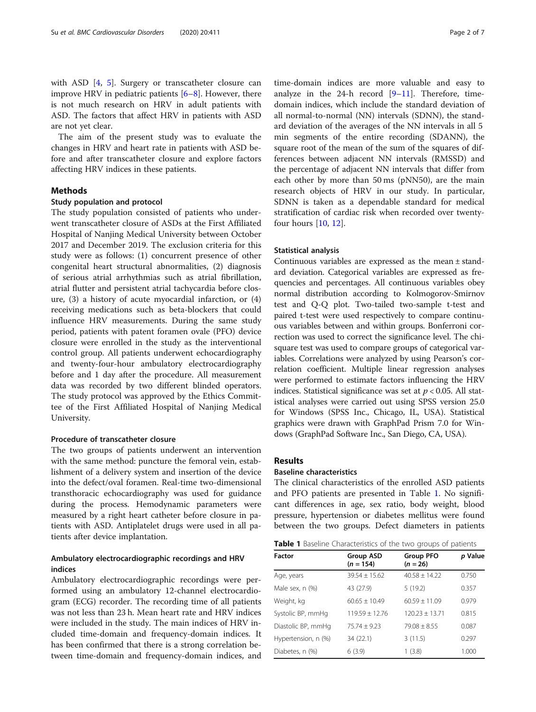with ASD [[4,](#page-6-0) [5\]](#page-6-0). Surgery or transcatheter closure can improve HRV in pediatric patients  $[6-8]$  $[6-8]$  $[6-8]$ . However, there is not much research on HRV in adult patients with ASD. The factors that affect HRV in patients with ASD are not yet clear.

The aim of the present study was to evaluate the changes in HRV and heart rate in patients with ASD before and after transcatheter closure and explore factors affecting HRV indices in these patients.

## Methods

## Study population and protocol

The study population consisted of patients who underwent transcatheter closure of ASDs at the First Affiliated Hospital of Nanjing Medical University between October 2017 and December 2019. The exclusion criteria for this study were as follows: (1) concurrent presence of other congenital heart structural abnormalities, (2) diagnosis of serious atrial arrhythmias such as atrial fibrillation, atrial flutter and persistent atrial tachycardia before closure, (3) a history of acute myocardial infarction, or (4) receiving medications such as beta-blockers that could influence HRV measurements. During the same study period, patients with patent foramen ovale (PFO) device closure were enrolled in the study as the interventional control group. All patients underwent echocardiography and twenty-four-hour ambulatory electrocardiography before and 1 day after the procedure. All measurement data was recorded by two different blinded operators. The study protocol was approved by the Ethics Committee of the First Affiliated Hospital of Nanjing Medical University.

## Procedure of transcatheter closure

The two groups of patients underwent an intervention with the same method: puncture the femoral vein, establishment of a delivery system and insertion of the device into the defect/oval foramen. Real-time two-dimensional transthoracic echocardiography was used for guidance during the process. Hemodynamic parameters were measured by a right heart catheter before closure in patients with ASD. Antiplatelet drugs were used in all patients after device implantation.

## Ambulatory electrocardiographic recordings and HRV indices

Ambulatory electrocardiographic recordings were performed using an ambulatory 12-channel electrocardiogram (ECG) recorder. The recording time of all patients was not less than 23 h. Mean heart rate and HRV indices were included in the study. The main indices of HRV included time-domain and frequency-domain indices. It has been confirmed that there is a strong correlation between time-domain and frequency-domain indices, and

time-domain indices are more valuable and easy to analyze in the 24-h record  $[9-11]$  $[9-11]$  $[9-11]$  $[9-11]$  $[9-11]$ . Therefore, timedomain indices, which include the standard deviation of all normal-to-normal (NN) intervals (SDNN), the standard deviation of the averages of the NN intervals in all 5 min segments of the entire recording (SDANN), the square root of the mean of the sum of the squares of differences between adjacent NN intervals (RMSSD) and the percentage of adjacent NN intervals that differ from each other by more than 50 ms (pNN50), are the main research objects of HRV in our study. In particular, SDNN is taken as a dependable standard for medical stratification of cardiac risk when recorded over twentyfour hours [[10,](#page-6-0) [12\]](#page-6-0).

## Statistical analysis

Continuous variables are expressed as the mean ± standard deviation. Categorical variables are expressed as frequencies and percentages. All continuous variables obey normal distribution according to Kolmogorov-Smirnov test and Q-Q plot. Two-tailed two-sample t-test and paired t-test were used respectively to compare continuous variables between and within groups. Bonferroni correction was used to correct the significance level. The chisquare test was used to compare groups of categorical variables. Correlations were analyzed by using Pearson's correlation coefficient. Multiple linear regression analyses were performed to estimate factors influencing the HRV indices. Statistical significance was set at  $p < 0.05$ . All statistical analyses were carried out using SPSS version 25.0 for Windows (SPSS Inc., Chicago, IL, USA). Statistical graphics were drawn with GraphPad Prism 7.0 for Windows (GraphPad Software Inc., San Diego, CA, USA).

## Results

#### Baseline characteristics

The clinical characteristics of the enrolled ASD patients and PFO patients are presented in Table 1. No significant differences in age, sex ratio, body weight, blood pressure, hypertension or diabetes mellitus were found between the two groups. Defect diameters in patients

| <b>Table 1</b> Baseline Characteristics of the two groups of patients |  |  |
|-----------------------------------------------------------------------|--|--|
|-----------------------------------------------------------------------|--|--|

| Factor              | <b>Group ASD</b><br>$(n = 154)$ | <b>Group PFO</b><br>$(n = 26)$ | p Value |
|---------------------|---------------------------------|--------------------------------|---------|
| Age, years          | $39.54 + 15.62$                 | $40.58 + 14.22$                | 0.750   |
| Male sex, n (%)     | 43 (27.9)                       | 5(19.2)                        | 0.357   |
| Weight, kg          | $60.65 \pm 10.49$               | $60.59 + 11.09$                | 0.979   |
| Systolic BP, mmHq   | $119.59 + 12.76$                | $120.23 + 13.71$               | 0.815   |
| Diastolic BP, mmHg  | $75.74 + 9.23$                  | $79.08 + 8.55$                 | 0.087   |
| Hypertension, n (%) | 34 (22.1)                       | 3(11.5)                        | 0.297   |
| Diabetes, n (%)     | 6(3.9)                          | 1(3.8)                         | 1.000   |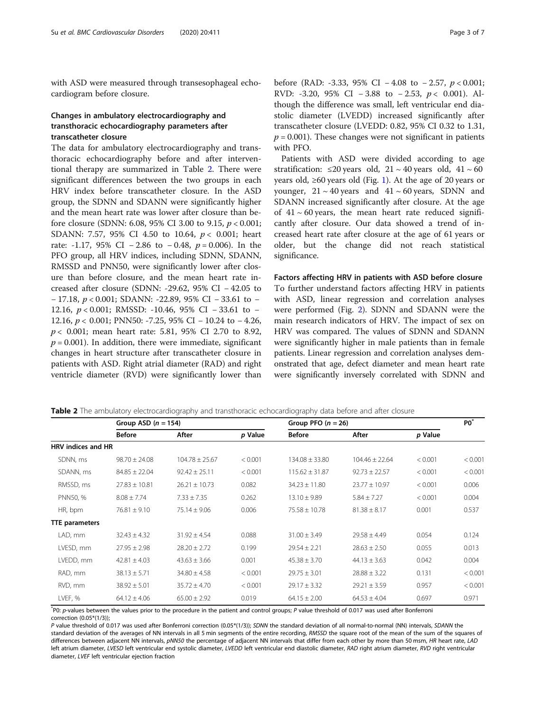with ASD were measured through transesophageal echocardiogram before closure.

## Changes in ambulatory electrocardiography and transthoracic echocardiography parameters after transcatheter closure

The data for ambulatory electrocardiography and transthoracic echocardiography before and after interventional therapy are summarized in Table 2. There were significant differences between the two groups in each HRV index before transcatheter closure. In the ASD group, the SDNN and SDANN were significantly higher and the mean heart rate was lower after closure than before closure (SDNN: 6.08, 95% CI 3.00 to 9.15,  $p < 0.001$ ; SDANN: 7.57, 95% CI 4.50 to 10.64,  $p < 0.001$ ; heart rate: -1.17, 95% CI − 2.86 to − 0.48,  $p = 0.006$ ). In the PFO group, all HRV indices, including SDNN, SDANN, RMSSD and PNN50, were significantly lower after closure than before closure, and the mean heart rate increased after closure (SDNN: -29.62, 95% CI − 42.05 to − 17.18, p < 0.001; SDANN: -22.89, 95% CI − 33.61 to − 12.16, p < 0.001; RMSSD: -10.46, 95% CI − 33.61 to − 12.16, p < 0.001; PNN50: -7.25, 95% CI − 10.24 to − 4.26, p < 0.001; mean heart rate: 5.81, 95% CI 2.70 to 8.92,  $p = 0.001$ ). In addition, there were immediate, significant changes in heart structure after transcatheter closure in patients with ASD. Right atrial diameter (RAD) and right ventricle diameter (RVD) were significantly lower than before (RAD: -3.33, 95% CI – 4.08 to – 2.57,  $p < 0.001$ ; RVD: -3.20, 95% CI – 3.88 to – 2.53,  $p < 0.001$ ). Although the difference was small, left ventricular end diastolic diameter (LVEDD) increased significantly after transcatheter closure (LVEDD: 0.82, 95% CI 0.32 to 1.31,  $p = 0.001$ ). These changes were not significant in patients with PFO.

Patients with ASD were divided according to age stratification:  $\leq 20$  years old,  $21 \sim 40$  years old,  $41 \sim 60$ years old, ≥60 years old (Fig. [1](#page-3-0)). At the age of 20 years or younger,  $21 \sim 40$  years and  $41 \sim 60$  years, SDNN and SDANN increased significantly after closure. At the age of  $41 \sim 60$  years, the mean heart rate reduced significantly after closure. Our data showed a trend of increased heart rate after closure at the age of 61 years or older, but the change did not reach statistical significance.

## Factors affecting HRV in patients with ASD before closure

To further understand factors affecting HRV in patients with ASD, linear regression and correlation analyses were performed (Fig. [2\)](#page-3-0). SDNN and SDANN were the main research indicators of HRV. The impact of sex on HRV was compared. The values of SDNN and SDANN were significantly higher in male patients than in female patients. Linear regression and correlation analyses demonstrated that age, defect diameter and mean heart rate were significantly inversely correlated with SDNN and

|                       | Group ASD $(n = 154)$ |                    | Group PFO $(n = 26)$ | PO <sup>*</sup>    |                    |         |         |
|-----------------------|-----------------------|--------------------|----------------------|--------------------|--------------------|---------|---------|
|                       | <b>Before</b>         | After              | p Value              | <b>Before</b>      | After              | p Value |         |
| HRV indices and HR    |                       |                    |                      |                    |                    |         |         |
| SDNN, ms              | $98.70 \pm 24.08$     | $104.78 \pm 25.67$ | < 0.001              | $134.08 \pm 33.80$ | $104.46 \pm 22.64$ | < 0.001 | < 0.001 |
| SDANN, ms             | $84.85 \pm 22.04$     | $92.42 \pm 25.11$  | < 0.001              | $115.62 \pm 31.87$ | $92.73 \pm 22.57$  | < 0.001 | < 0.001 |
| RMSSD, ms             | $27.83 \pm 10.81$     | $26.21 \pm 10.73$  | 0.082                | $34.23 \pm 11.80$  | $23.77 \pm 10.97$  | < 0.001 | 0.006   |
| PNN50, %              | $8.08 \pm 7.74$       | $7.33 \pm 7.35$    | 0.262                | $13.10 \pm 9.89$   | $5.84 \pm 7.27$    | < 0.001 | 0.004   |
| HR, bpm               | $76.81 \pm 9.10$      | $75.14 \pm 9.06$   | 0.006                | $75.58 \pm 10.78$  | $81.38 \pm 8.17$   | 0.001   | 0.537   |
| <b>TTE parameters</b> |                       |                    |                      |                    |                    |         |         |
| LAD, mm               | $32.43 \pm 4.32$      | $31.92 \pm 4.54$   | 0.088                | $31.00 \pm 3.49$   | $29.58 \pm 4.49$   | 0.054   | 0.124   |
| LVESD, mm             | $27.95 \pm 2.98$      | $28.20 \pm 2.72$   | 0.199                | $29.54 \pm 2.21$   | $28.63 \pm 2.50$   | 0.055   | 0.013   |
| LVEDD, mm             | $42.81 \pm 4.03$      | $43.63 \pm 3.66$   | 0.001                | $45.38 \pm 3.70$   | $44.13 \pm 3.63$   | 0.042   | 0.004   |
| RAD, mm               | $38.13 \pm 5.71$      | $34.80 \pm 4.58$   | < 0.001              | $29.75 \pm 3.01$   | $28.88 \pm 3.22$   | 0.131   | < 0.001 |
| RVD, mm               | $38.92 \pm 5.01$      | $35.72 \pm 4.70$   | < 0.001              | $29.17 \pm 3.32$   | $29.21 \pm 3.59$   | 0.957   | < 0.001 |
| LVEF, %               | $64.12 \pm 4.06$      | $65.00 \pm 2.92$   | 0.019                | $64.15 \pm 2.00$   | $64.53 \pm 4.04$   | 0.697   | 0.971   |

Table 2 The ambulatory electrocardiography and transthoracic echocardiography data before and after closure

\* P0: p-values between the values prior to the procedure in the patient and control groups; P value threshold of 0.017 was used after Bonferroni correction (0.05\*(1/3));

P value threshold of 0.017 was used after Bonferroni correction (0.05\*(1/3)); SDNN the standard deviation of all normal-to-normal (NN) intervals, SDANN the standard deviation of the averages of NN intervals in all 5 min segments of the entire recording, RMSSD the square root of the mean of the sum of the squares of differences between adjacent NN intervals, pNN50 the percentage of adjacent NN intervals that differ from each other by more than 50 msm, HR heart rate, LAD left atrium diameter, LVESD left ventricular end systolic diameter, LVEDD left ventricular end diastolic diameter, RAD right atrium diameter, RVD right ventricular diameter, LVEF left ventricular ejection fraction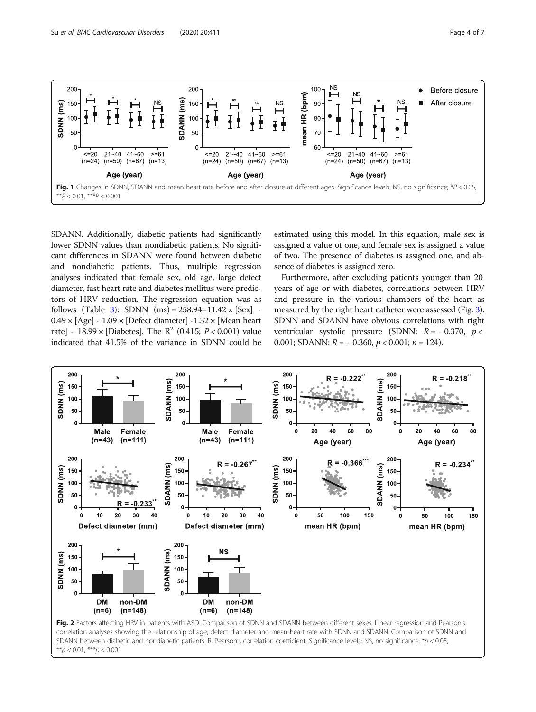<span id="page-3-0"></span>

SDANN. Additionally, diabetic patients had significantly lower SDNN values than nondiabetic patients. No significant differences in SDANN were found between diabetic and nondiabetic patients. Thus, multiple regression analyses indicated that female sex, old age, large defect diameter, fast heart rate and diabetes mellitus were predictors of HRV reduction. The regression equation was as follows (Table [3](#page-4-0)): SDNN  $(ms) = 258.94 - 11.42 \times [Sex]$  - $0.49 \times$  [Age] - 1.09  $\times$  [Defect diameter] -1.32  $\times$  [Mean heart rate] - 18.99 × [Diabetes]. The  $R^2$  (0.415;  $P < 0.001$ ) value indicated that 41.5% of the variance in SDNN could be

estimated using this model. In this equation, male sex is assigned a value of one, and female sex is assigned a value of two. The presence of diabetes is assigned one, and absence of diabetes is assigned zero.

Furthermore, after excluding patients younger than 20 years of age or with diabetes, correlations between HRV and pressure in the various chambers of the heart as measured by the right heart catheter were assessed (Fig. [3](#page-4-0)). SDNN and SDANN have obvious correlations with right ventricular systolic pressure (SDNN:  $R = -0.370$ ,  $p <$ 0.001; SDANN:  $R = -0.360$ ,  $p < 0.001$ ;  $n = 124$ ).

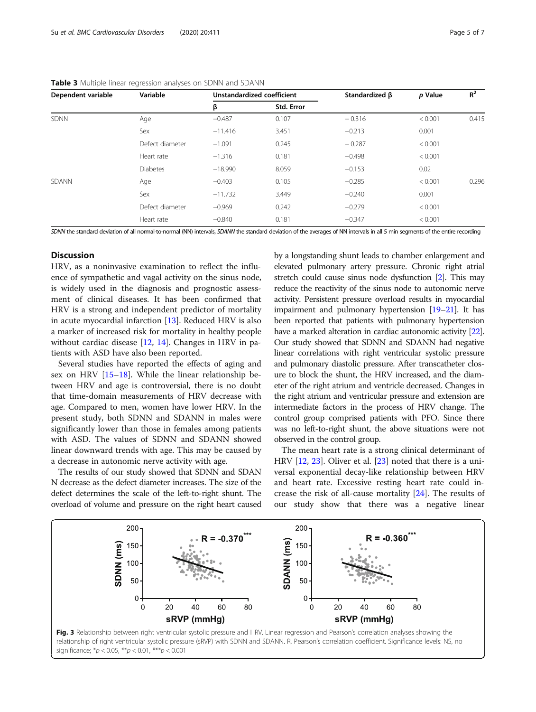| Dependent variable | Variable        |           | Unstandardized coefficient |          | p Value | $R^2$ |
|--------------------|-----------------|-----------|----------------------------|----------|---------|-------|
|                    |                 | β         | Std. Error                 |          |         |       |
| <b>SDNN</b>        | Age             | $-0.487$  | 0.107                      | $-0.316$ | < 0.001 | 0.415 |
|                    | Sex             | $-11.416$ | 3.451                      | $-0.213$ | 0.001   |       |
|                    | Defect diameter | $-1.091$  | 0.245                      | $-0.287$ | < 0.001 |       |
|                    | Heart rate      | $-1.316$  | 0.181                      | $-0.498$ | < 0.001 |       |
|                    | <b>Diabetes</b> | $-18.990$ | 8.059                      | $-0.153$ | 0.02    |       |
| SDANN              | Age             | $-0.403$  | 0.105                      | $-0.285$ | < 0.001 | 0.296 |
|                    | Sex             | $-11.732$ | 3.449                      | $-0.240$ | 0.001   |       |
|                    | Defect diameter | $-0.969$  | 0.242                      | $-0.279$ | < 0.001 |       |
|                    | Heart rate      | $-0.840$  | 0.181                      | $-0.347$ | < 0.001 |       |

<span id="page-4-0"></span>

| <b>Table 3</b> Multiple linear regression analyses on SDNN and SDANN |  |  |  |
|----------------------------------------------------------------------|--|--|--|
|                                                                      |  |  |  |

SDNN the standard deviation of all normal-to-normal (NN) intervals, SDANN the standard deviation of the averages of NN intervals in all 5 min segments of the entire recording

## **Discussion**

HRV, as a noninvasive examination to reflect the influence of sympathetic and vagal activity on the sinus node, is widely used in the diagnosis and prognostic assessment of clinical diseases. It has been confirmed that HRV is a strong and independent predictor of mortality in acute myocardial infarction [[13\]](#page-6-0). Reduced HRV is also a marker of increased risk for mortality in healthy people without cardiac disease [\[12,](#page-6-0) [14](#page-6-0)]. Changes in HRV in patients with ASD have also been reported.

Several studies have reported the effects of aging and sex on HRV [[15](#page-6-0)–[18](#page-6-0)]. While the linear relationship between HRV and age is controversial, there is no doubt that time-domain measurements of HRV decrease with age. Compared to men, women have lower HRV. In the present study, both SDNN and SDANN in males were significantly lower than those in females among patients with ASD. The values of SDNN and SDANN showed linear downward trends with age. This may be caused by a decrease in autonomic nerve activity with age.

The results of our study showed that SDNN and SDAN N decrease as the defect diameter increases. The size of the defect determines the scale of the left-to-right shunt. The overload of volume and pressure on the right heart caused by a longstanding shunt leads to chamber enlargement and elevated pulmonary artery pressure. Chronic right atrial stretch could cause sinus node dysfunction [[2](#page-6-0)]. This may reduce the reactivity of the sinus node to autonomic nerve activity. Persistent pressure overload results in myocardial impairment and pulmonary hypertension [\[19](#page-6-0)–[21\]](#page-6-0). It has been reported that patients with pulmonary hypertension have a marked alteration in cardiac autonomic activity [\[22](#page-6-0)]. Our study showed that SDNN and SDANN had negative linear correlations with right ventricular systolic pressure and pulmonary diastolic pressure. After transcatheter closure to block the shunt, the HRV increased, and the diameter of the right atrium and ventricle decreased. Changes in the right atrium and ventricular pressure and extension are intermediate factors in the process of HRV change. The control group comprised patients with PFO. Since there was no left-to-right shunt, the above situations were not observed in the control group.

The mean heart rate is a strong clinical determinant of HRV [\[12](#page-6-0), [23](#page-6-0)]. Oliver et al. [\[23\]](#page-6-0) noted that there is a universal exponential decay-like relationship between HRV and heart rate. Excessive resting heart rate could increase the risk of all-cause mortality [\[24\]](#page-6-0). The results of our study show that there was a negative linear



significance;  $*p < 0.05$ ,  $**p < 0.01$ ,  $***p < 0.001$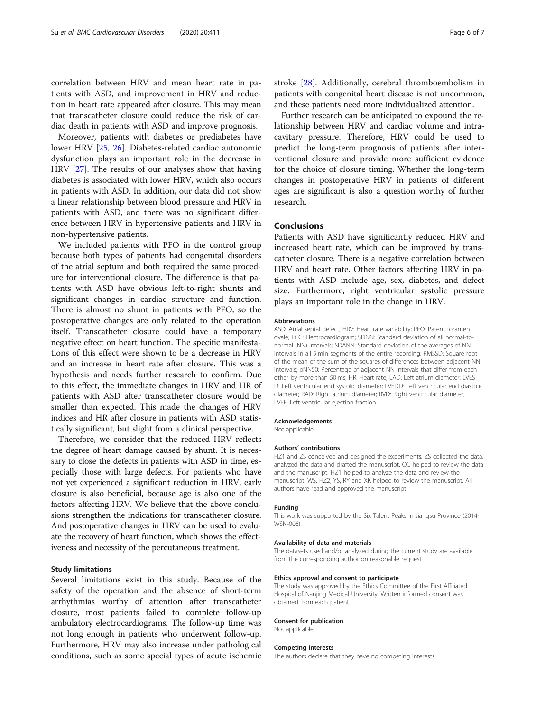correlation between HRV and mean heart rate in patients with ASD, and improvement in HRV and reduction in heart rate appeared after closure. This may mean that transcatheter closure could reduce the risk of cardiac death in patients with ASD and improve prognosis.

Moreover, patients with diabetes or prediabetes have lower HRV [[25,](#page-6-0) [26](#page-6-0)]. Diabetes-related cardiac autonomic dysfunction plays an important role in the decrease in HRV [[27\]](#page-6-0). The results of our analyses show that having diabetes is associated with lower HRV, which also occurs in patients with ASD. In addition, our data did not show a linear relationship between blood pressure and HRV in patients with ASD, and there was no significant difference between HRV in hypertensive patients and HRV in non-hypertensive patients.

We included patients with PFO in the control group because both types of patients had congenital disorders of the atrial septum and both required the same procedure for interventional closure. The difference is that patients with ASD have obvious left-to-right shunts and significant changes in cardiac structure and function. There is almost no shunt in patients with PFO, so the postoperative changes are only related to the operation itself. Transcatheter closure could have a temporary negative effect on heart function. The specific manifestations of this effect were shown to be a decrease in HRV and an increase in heart rate after closure. This was a hypothesis and needs further research to confirm. Due to this effect, the immediate changes in HRV and HR of patients with ASD after transcatheter closure would be smaller than expected. This made the changes of HRV indices and HR after closure in patients with ASD statistically significant, but slight from a clinical perspective.

Therefore, we consider that the reduced HRV reflects the degree of heart damage caused by shunt. It is necessary to close the defects in patients with ASD in time, especially those with large defects. For patients who have not yet experienced a significant reduction in HRV, early closure is also beneficial, because age is also one of the factors affecting HRV. We believe that the above conclusions strengthen the indications for transcatheter closure. And postoperative changes in HRV can be used to evaluate the recovery of heart function, which shows the effectiveness and necessity of the percutaneous treatment.

## Study limitations

Several limitations exist in this study. Because of the safety of the operation and the absence of short-term arrhythmias worthy of attention after transcatheter closure, most patients failed to complete follow-up ambulatory electrocardiograms. The follow-up time was not long enough in patients who underwent follow-up. Furthermore, HRV may also increase under pathological conditions, such as some special types of acute ischemic

stroke [\[28](#page-6-0)]. Additionally, cerebral thromboembolism in patients with congenital heart disease is not uncommon, and these patients need more individualized attention.

Further research can be anticipated to expound the relationship between HRV and cardiac volume and intracavitary pressure. Therefore, HRV could be used to predict the long-term prognosis of patients after interventional closure and provide more sufficient evidence for the choice of closure timing. Whether the long-term changes in postoperative HRV in patients of different ages are significant is also a question worthy of further research.

## Conclusions

Patients with ASD have significantly reduced HRV and increased heart rate, which can be improved by transcatheter closure. There is a negative correlation between HRV and heart rate. Other factors affecting HRV in patients with ASD include age, sex, diabetes, and defect size. Furthermore, right ventricular systolic pressure plays an important role in the change in HRV.

#### Abbreviations

ASD: Atrial septal defect; HRV: Heart rate variability; PFO: Patent foramen ovale; ECG: Electrocardiogram; SDNN: Standard deviation of all normal-tonormal (NN) intervals; SDANN: Standard deviation of the averages of NN intervals in all 5 min segments of the entire recording; RMSSD: Square root of the mean of the sum of the squares of differences between adjacent NN intervals; pNN50: Percentage of adjacent NN intervals that differ from each other by more than 50 ms; HR: Heart rate; LAD: Left atrium diameter; LVES D: Left ventricular end systolic diameter; LVEDD: Left ventricular end diastolic diameter; RAD: Right atrium diameter; RVD: Right ventricular diameter; LVEF: Left ventricular ejection fraction

#### Acknowledgements

Not applicable.

#### Authors' contributions

HZ1 and ZS conceived and designed the experiments. ZS collected the data, analyzed the data and drafted the manuscript. QC helped to review the data and the manuscript. HZ1 helped to analyze the data and review the manuscript. WS, HZ2, YS, RY and XK helped to review the manuscript. All authors have read and approved the manuscript.

#### Funding

This work was supported by the Six Talent Peaks in Jiangsu Province (2014- WSN-006).

## Availability of data and materials

The datasets used and/or analyzed during the current study are available from the corresponding author on reasonable request.

### Ethics approval and consent to participate

The study was approved by the Ethics Committee of the First Affiliated Hospital of Nanjing Medical University. Written informed consent was obtained from each patient.

#### Consent for publication

Not applicable.

#### Competing interests

The authors declare that they have no competing interests.